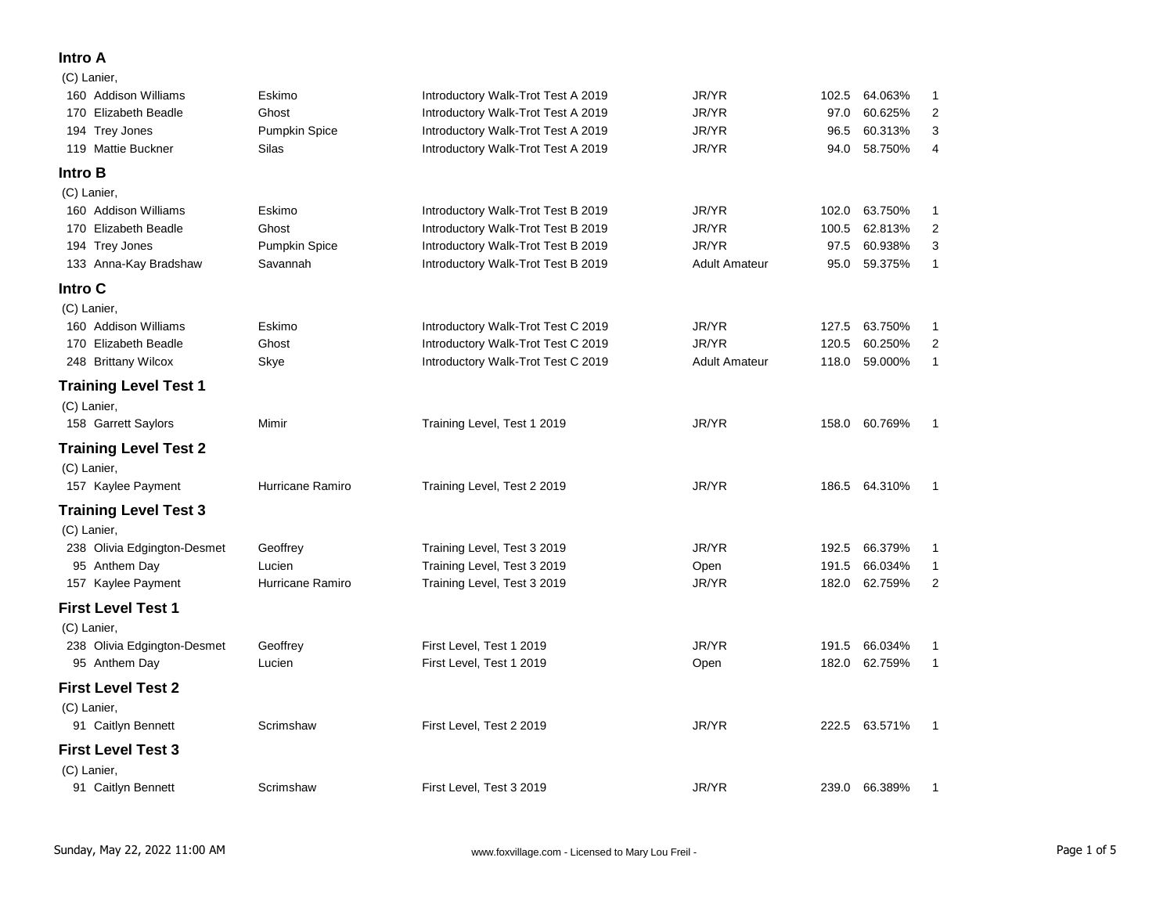## **Intro A**

| (C) Lanier,                  |                      |                                    |                      |       |               |                |
|------------------------------|----------------------|------------------------------------|----------------------|-------|---------------|----------------|
| 160 Addison Williams         | Eskimo               | Introductory Walk-Trot Test A 2019 | JR/YR                | 102.5 | 64.063%       | 1              |
| 170 Elizabeth Beadle         | Ghost                | Introductory Walk-Trot Test A 2019 | JR/YR                | 97.0  | 60.625%       | $\overline{2}$ |
| 194 Trey Jones               | <b>Pumpkin Spice</b> | Introductory Walk-Trot Test A 2019 | JR/YR                | 96.5  | 60.313%       | 3              |
| 119 Mattie Buckner           | Silas                | Introductory Walk-Trot Test A 2019 | JR/YR                | 94.0  | 58.750%       | 4              |
| <b>Intro B</b>               |                      |                                    |                      |       |               |                |
| (C) Lanier,                  |                      |                                    |                      |       |               |                |
| 160 Addison Williams         | Eskimo               | Introductory Walk-Trot Test B 2019 | JR/YR                | 102.0 | 63.750%       | $\mathbf{1}$   |
| 170 Elizabeth Beadle         | Ghost                | Introductory Walk-Trot Test B 2019 | JR/YR                | 100.5 | 62.813%       | $\overline{2}$ |
| 194 Trey Jones               | <b>Pumpkin Spice</b> | Introductory Walk-Trot Test B 2019 | JR/YR                | 97.5  | 60.938%       | 3              |
| 133 Anna-Kay Bradshaw        | Savannah             | Introductory Walk-Trot Test B 2019 | <b>Adult Amateur</b> | 95.0  | 59.375%       | $\mathbf{1}$   |
| Intro C                      |                      |                                    |                      |       |               |                |
| (C) Lanier,                  |                      |                                    |                      |       |               |                |
| 160 Addison Williams         | Eskimo               | Introductory Walk-Trot Test C 2019 | JR/YR                | 127.5 | 63.750%       | $\mathbf{1}$   |
| 170 Elizabeth Beadle         | Ghost                | Introductory Walk-Trot Test C 2019 | JR/YR                | 120.5 | 60.250%       | $\overline{2}$ |
| 248 Brittany Wilcox          | Skye                 | Introductory Walk-Trot Test C 2019 | <b>Adult Amateur</b> | 118.0 | 59.000%       | $\mathbf{1}$   |
| <b>Training Level Test 1</b> |                      |                                    |                      |       |               |                |
| (C) Lanier,                  |                      |                                    |                      |       |               |                |
| 158 Garrett Saylors          | Mimir                | Training Level, Test 1 2019        | JR/YR                | 158.0 | 60.769%       | $\mathbf{1}$   |
| <b>Training Level Test 2</b> |                      |                                    |                      |       |               |                |
| (C) Lanier,                  |                      |                                    |                      |       |               |                |
| 157 Kaylee Payment           | Hurricane Ramiro     | Training Level, Test 2 2019        | JR/YR                |       | 186.5 64.310% | $\overline{1}$ |
| <b>Training Level Test 3</b> |                      |                                    |                      |       |               |                |
| (C) Lanier,                  |                      |                                    |                      |       |               |                |
| 238 Olivia Edgington-Desmet  | Geoffrey             | Training Level, Test 3 2019        | JR/YR                | 192.5 | 66.379%       | $\mathbf{1}$   |
| 95 Anthem Day                | Lucien               | Training Level, Test 3 2019        | Open                 | 191.5 | 66.034%       | $\mathbf{1}$   |
| 157 Kaylee Payment           | Hurricane Ramiro     | Training Level, Test 3 2019        | JR/YR                | 182.0 | 62.759%       | $\overline{2}$ |
| <b>First Level Test 1</b>    |                      |                                    |                      |       |               |                |
| (C) Lanier,                  |                      |                                    |                      |       |               |                |
| 238 Olivia Edgington-Desmet  | Geoffrey             | First Level, Test 1 2019           | JR/YR                | 191.5 | 66.034%       | $\mathbf{1}$   |
| 95 Anthem Day                | Lucien               | First Level, Test 1 2019           | Open                 | 182.0 | 62.759%       | $\mathbf{1}$   |
| <b>First Level Test 2</b>    |                      |                                    |                      |       |               |                |
| (C) Lanier,                  |                      |                                    |                      |       |               |                |
| 91 Caitlyn Bennett           | Scrimshaw            | First Level, Test 2 2019           | JR/YR                |       | 222.5 63.571% | $\mathbf{1}$   |
| <b>First Level Test 3</b>    |                      |                                    |                      |       |               |                |
| (C) Lanier,                  |                      |                                    |                      |       |               |                |
| 91 Caitlyn Bennett           | Scrimshaw            | First Level, Test 3 2019           | JR/YR                |       | 239.0 66.389% | $\mathbf{1}$   |
|                              |                      |                                    |                      |       |               |                |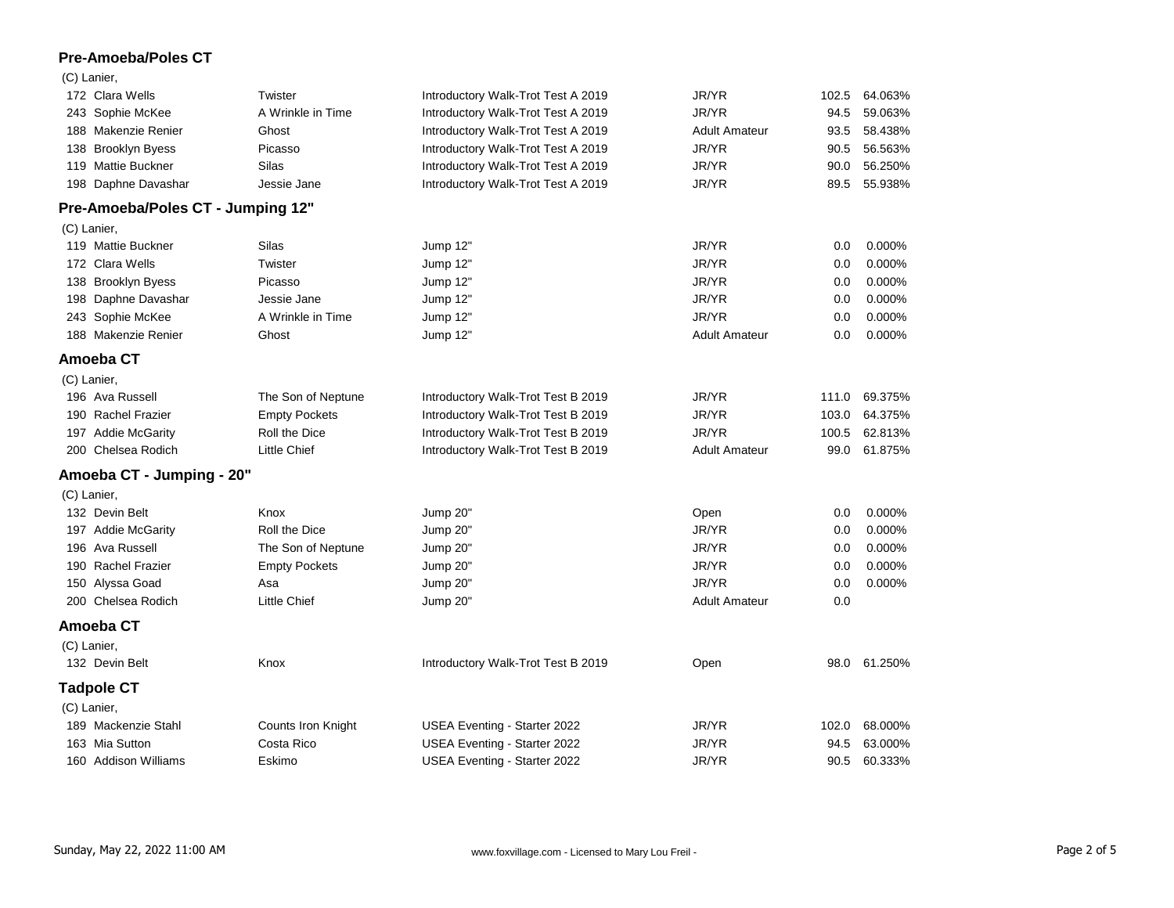## **Pre-Amoeba/Poles CT**

|             | 07 Lunon,                         |                           |                                    |                      |       |         |
|-------------|-----------------------------------|---------------------------|------------------------------------|----------------------|-------|---------|
|             | 172 Clara Wells                   | Twister                   | Introductory Walk-Trot Test A 2019 | JR/YR                | 102.5 | 64.063% |
|             | 243 Sophie McKee                  | A Wrinkle in Time         | Introductory Walk-Trot Test A 2019 | JR/YR                | 94.5  | 59.063% |
|             | 188 Makenzie Renier               | Ghost                     | Introductory Walk-Trot Test A 2019 | <b>Adult Amateur</b> | 93.5  | 58.438% |
|             | 138 Brooklyn Byess                | Picasso                   | Introductory Walk-Trot Test A 2019 | JR/YR                | 90.5  | 56.563% |
|             | 119 Mattie Buckner                | Silas                     | Introductory Walk-Trot Test A 2019 | JR/YR                | 90.0  | 56.250% |
|             | 198 Daphne Davashar               | Jessie Jane               | Introductory Walk-Trot Test A 2019 | JR/YR                | 89.5  | 55.938% |
|             | Pre-Amoeba/Poles CT - Jumping 12" |                           |                                    |                      |       |         |
|             | (C) Lanier,                       |                           |                                    |                      |       |         |
|             | 119 Mattie Buckner                | Silas                     | Jump 12"                           | JR/YR                | 0.0   | 0.000%  |
|             | 172 Clara Wells                   | Twister                   | Jump 12"                           | JR/YR                | 0.0   | 0.000%  |
|             | 138 Brooklyn Byess                | Picasso                   | Jump 12"                           | JR/YR                | 0.0   | 0.000%  |
|             | 198 Daphne Davashar               | Jessie Jane               | Jump 12"                           | JR/YR                | 0.0   | 0.000%  |
|             | 243 Sophie McKee                  | A Wrinkle in Time         | Jump 12"                           | JR/YR                | 0.0   | 0.000%  |
|             | 188 Makenzie Renier               | Ghost                     | Jump 12"                           | <b>Adult Amateur</b> | 0.0   | 0.000%  |
|             | Amoeba CT                         |                           |                                    |                      |       |         |
| (C) Lanier, |                                   |                           |                                    |                      |       |         |
|             | 196 Ava Russell                   | The Son of Neptune        | Introductory Walk-Trot Test B 2019 | JR/YR                | 111.0 | 69.375% |
|             | 190 Rachel Frazier                | <b>Empty Pockets</b>      | Introductory Walk-Trot Test B 2019 | JR/YR                | 103.0 | 64.375% |
|             | 197 Addie McGarity                | Roll the Dice             | Introductory Walk-Trot Test B 2019 | JR/YR                | 100.5 | 62.813% |
|             | 200 Chelsea Rodich                | Little Chief              | Introductory Walk-Trot Test B 2019 | <b>Adult Amateur</b> | 99.0  | 61.875% |
|             | Amoeba CT - Jumping - 20"         |                           |                                    |                      |       |         |
|             | (C) Lanier,                       |                           |                                    |                      |       |         |
|             | 132 Devin Belt                    | Knox                      | Jump 20"                           | Open                 | 0.0   | 0.000%  |
|             | 197 Addie McGarity                | Roll the Dice             | Jump 20"                           | JR/YR                | 0.0   | 0.000%  |
|             | 196 Ava Russell                   | The Son of Neptune        | Jump 20"                           | JR/YR                | 0.0   | 0.000%  |
|             | 190 Rachel Frazier                | <b>Empty Pockets</b>      | Jump 20"                           | JR/YR                | 0.0   | 0.000%  |
|             | 150 Alyssa Goad                   | Asa                       | Jump 20"                           | JR/YR                | 0.0   | 0.000%  |
|             | 200 Chelsea Rodich                | Little Chief              | Jump 20"                           | <b>Adult Amateur</b> | 0.0   |         |
|             | Amoeba CT                         |                           |                                    |                      |       |         |
| (C) Lanier, |                                   |                           |                                    |                      |       |         |
|             | 132 Devin Belt                    | Knox                      | Introductory Walk-Trot Test B 2019 | Open                 | 98.0  | 61.250% |
|             | <b>Tadpole CT</b>                 |                           |                                    |                      |       |         |
|             | (C) Lanier,                       |                           |                                    |                      |       |         |
|             | 189 Mackenzie Stahl               | <b>Counts Iron Knight</b> | USEA Eventing - Starter 2022       | JR/YR                | 102.0 | 68.000% |
|             | 163 Mia Sutton                    | Costa Rico                | USEA Eventing - Starter 2022       | JR/YR                | 94.5  | 63.000% |
|             | 160 Addison Williams              | Eskimo                    | USEA Eventing - Starter 2022       | JR/YR                | 90.5  | 60.333% |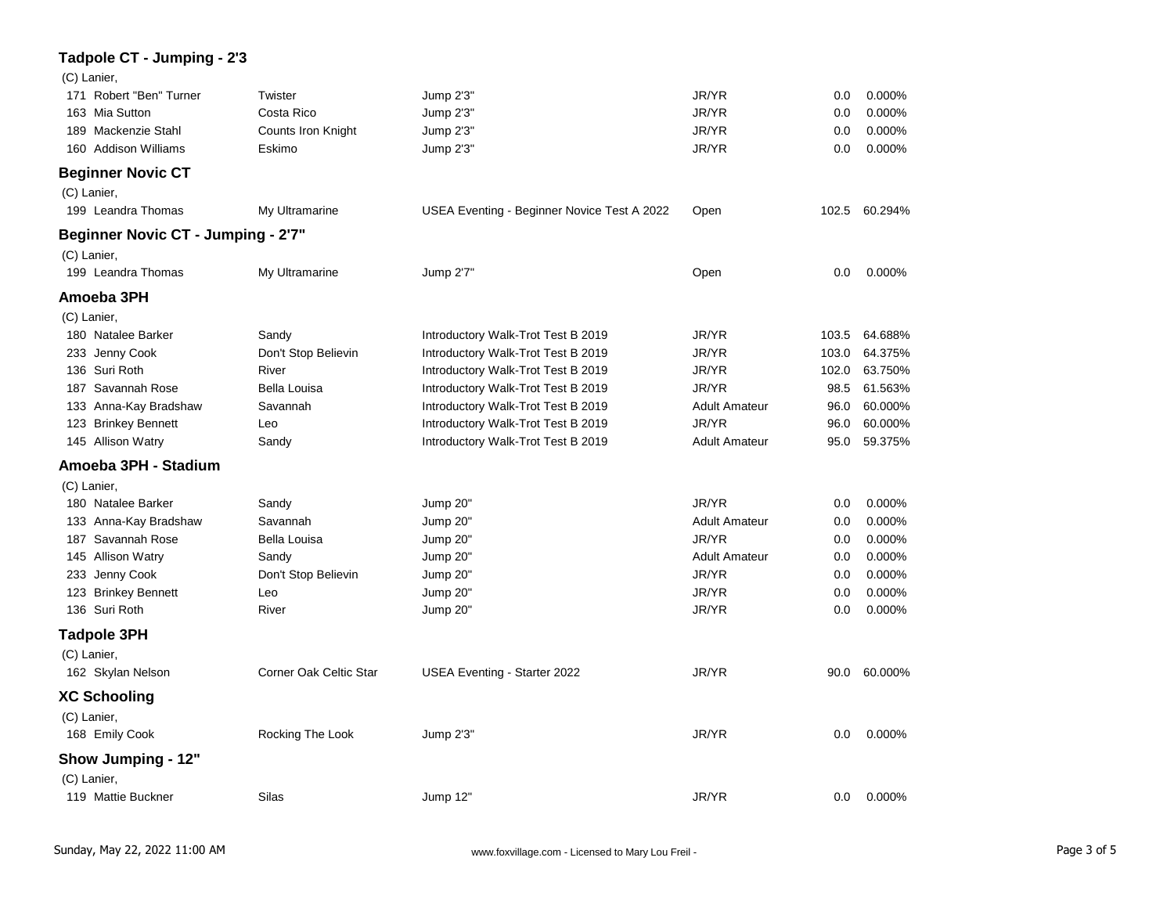| Tadpole CT - Jumping - 2'3                |                        |                                             |                      |       |               |
|-------------------------------------------|------------------------|---------------------------------------------|----------------------|-------|---------------|
| (C) Lanier,                               |                        |                                             |                      |       |               |
| 171 Robert "Ben" Turner                   | Twister                | Jump 2'3"                                   | JR/YR                | 0.0   | 0.000%        |
| 163 Mia Sutton                            | Costa Rico             | Jump 2'3"                                   | JR/YR                | 0.0   | 0.000%        |
| 189 Mackenzie Stahl                       | Counts Iron Knight     | Jump 2'3"                                   | JR/YR                | 0.0   | 0.000%        |
| 160 Addison Williams                      | Eskimo                 | Jump 2'3"                                   | JR/YR                | 0.0   | 0.000%        |
| <b>Beginner Novic CT</b>                  |                        |                                             |                      |       |               |
| (C) Lanier,                               |                        |                                             |                      |       |               |
| 199 Leandra Thomas                        | My Ultramarine         | USEA Eventing - Beginner Novice Test A 2022 | Open                 |       | 102.5 60.294% |
| <b>Beginner Novic CT - Jumping - 2'7"</b> |                        |                                             |                      |       |               |
| (C) Lanier,                               |                        |                                             |                      |       |               |
| 199 Leandra Thomas                        | My Ultramarine         | Jump 2'7"                                   | Open                 | 0.0   | 0.000%        |
| Amoeba 3PH                                |                        |                                             |                      |       |               |
| (C) Lanier,                               |                        |                                             |                      |       |               |
| 180 Natalee Barker                        | Sandy                  | Introductory Walk-Trot Test B 2019          | JR/YR                | 103.5 | 64.688%       |
| 233 Jenny Cook                            | Don't Stop Believin    | Introductory Walk-Trot Test B 2019          | JR/YR                | 103.0 | 64.375%       |
| 136 Suri Roth                             | River                  | Introductory Walk-Trot Test B 2019          | JR/YR                | 102.0 | 63.750%       |
| 187 Savannah Rose                         | Bella Louisa           | Introductory Walk-Trot Test B 2019          | JR/YR                | 98.5  | 61.563%       |
| 133 Anna-Kay Bradshaw                     | Savannah               | Introductory Walk-Trot Test B 2019          | <b>Adult Amateur</b> | 96.0  | 60.000%       |
| 123 Brinkey Bennett                       | Leo                    | Introductory Walk-Trot Test B 2019          | JR/YR                | 96.0  | 60.000%       |
| 145 Allison Watry                         | Sandy                  | Introductory Walk-Trot Test B 2019          | <b>Adult Amateur</b> | 95.0  | 59.375%       |
| Amoeba 3PH - Stadium                      |                        |                                             |                      |       |               |
| (C) Lanier,                               |                        |                                             |                      |       |               |
| 180 Natalee Barker                        | Sandy                  | Jump 20"                                    | JR/YR                | 0.0   | 0.000%        |
| 133 Anna-Kay Bradshaw                     | Savannah               | Jump 20"                                    | <b>Adult Amateur</b> | 0.0   | 0.000%        |
| 187 Savannah Rose                         | Bella Louisa           | Jump 20"                                    | JR/YR                | 0.0   | 0.000%        |
| 145 Allison Watry                         | Sandy                  | Jump 20"                                    | <b>Adult Amateur</b> | 0.0   | 0.000%        |
| 233 Jenny Cook                            | Don't Stop Believin    | Jump 20"                                    | JR/YR                | 0.0   | 0.000%        |
| 123 Brinkey Bennett                       | Leo                    | Jump 20"                                    | JR/YR                | 0.0   | 0.000%        |
| 136 Suri Roth                             | River                  | Jump 20"                                    | JR/YR                | 0.0   | 0.000%        |
| <b>Tadpole 3PH</b>                        |                        |                                             |                      |       |               |
| (C) Lanier,                               |                        |                                             |                      |       |               |
| 162 Skylan Nelson                         | Corner Oak Celtic Star | <b>USEA Eventing - Starter 2022</b>         | JR/YR                | 90.0  | 60.000%       |
| <b>XC Schooling</b>                       |                        |                                             |                      |       |               |
| (C) Lanier,                               |                        |                                             |                      |       |               |
| 168 Emily Cook                            | Rocking The Look       | Jump 2'3"                                   | JR/YR                | 0.0   | 0.000%        |
| <b>Show Jumping - 12"</b>                 |                        |                                             |                      |       |               |
| (C) Lanier,                               |                        |                                             |                      |       |               |
| 119 Mattie Buckner                        | Silas                  | Jump 12"                                    | JR/YR                | 0.0   | 0.000%        |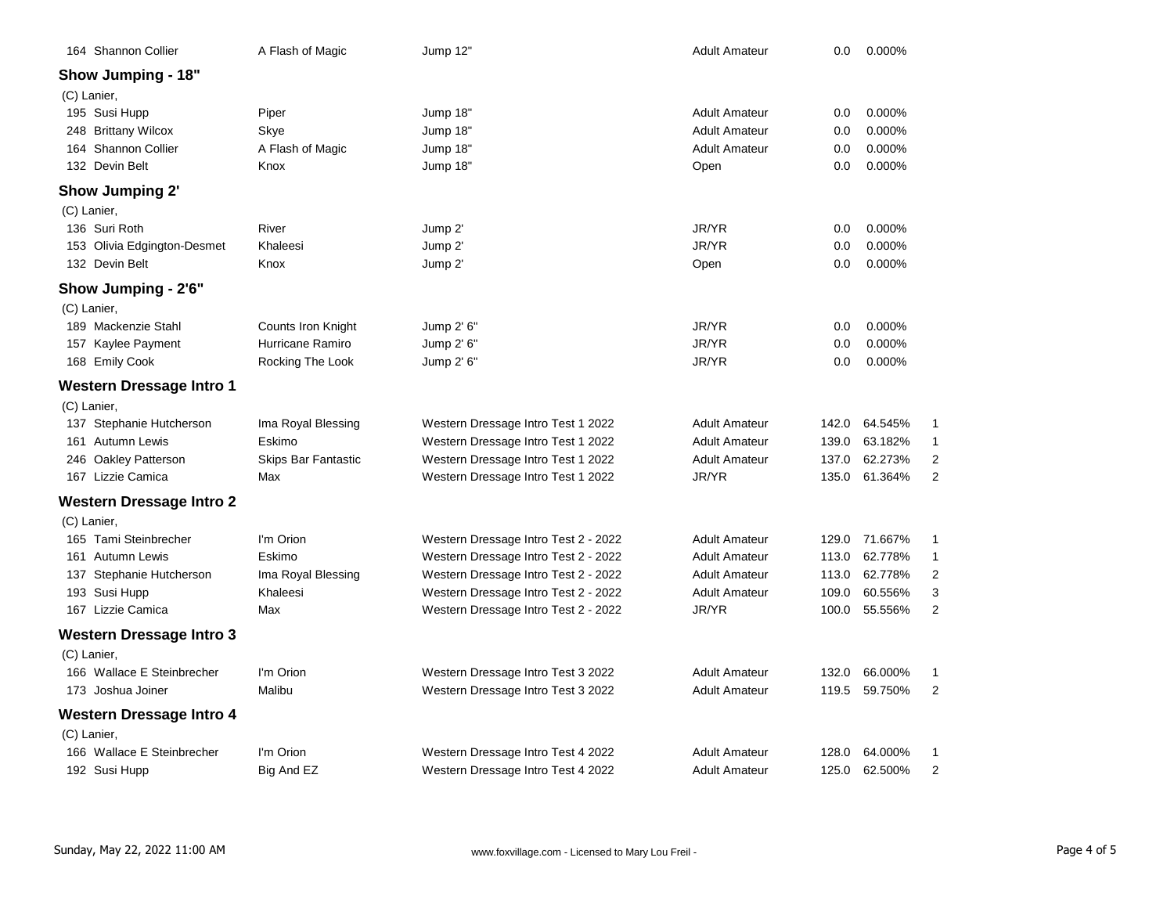| 164 Shannon Collier             | A Flash of Magic           | Jump 12"                             | <b>Adult Amateur</b> | 0.0   | 0.000%  |   |
|---------------------------------|----------------------------|--------------------------------------|----------------------|-------|---------|---|
| <b>Show Jumping - 18"</b>       |                            |                                      |                      |       |         |   |
| (C) Lanier,                     |                            |                                      |                      |       |         |   |
| 195 Susi Hupp                   | Piper                      | Jump 18"                             | <b>Adult Amateur</b> | 0.0   | 0.000%  |   |
| 248 Brittany Wilcox             | Skye                       | Jump 18"                             | <b>Adult Amateur</b> | 0.0   | 0.000%  |   |
| 164 Shannon Collier             | A Flash of Magic           | Jump 18"                             | <b>Adult Amateur</b> | 0.0   | 0.000%  |   |
| 132 Devin Belt                  | Knox                       | Jump 18"                             | Open                 | 0.0   | 0.000%  |   |
| <b>Show Jumping 2'</b>          |                            |                                      |                      |       |         |   |
| (C) Lanier,                     |                            |                                      |                      |       |         |   |
| 136 Suri Roth                   | River                      | Jump 2'                              | JR/YR                | 0.0   | 0.000%  |   |
| 153 Olivia Edgington-Desmet     | Khaleesi                   | Jump 2'                              | JR/YR                | 0.0   | 0.000%  |   |
| 132 Devin Belt                  | Knox                       | Jump 2'                              | Open                 | 0.0   | 0.000%  |   |
| Show Jumping - 2'6"             |                            |                                      |                      |       |         |   |
| (C) Lanier,                     |                            |                                      |                      |       |         |   |
| 189 Mackenzie Stahl             | Counts Iron Knight         | Jump 2' 6"                           | JR/YR                | 0.0   | 0.000%  |   |
| 157 Kaylee Payment              | Hurricane Ramiro           | Jump 2' 6"                           | JR/YR                | 0.0   | 0.000%  |   |
| 168 Emily Cook                  | Rocking The Look           | Jump 2' 6"                           | JR/YR                | 0.0   | 0.000%  |   |
| <b>Western Dressage Intro 1</b> |                            |                                      |                      |       |         |   |
| (C) Lanier,                     |                            |                                      |                      |       |         |   |
| 137 Stephanie Hutcherson        | Ima Royal Blessing         | Western Dressage Intro Test 1 2022   | <b>Adult Amateur</b> | 142.0 | 64.545% |   |
| 161 Autumn Lewis                | Eskimo                     | Western Dressage Intro Test 1 2022   | <b>Adult Amateur</b> | 139.0 | 63.182% |   |
| 246 Oakley Patterson            | <b>Skips Bar Fantastic</b> | Western Dressage Intro Test 1 2022   | <b>Adult Amateur</b> | 137.0 | 62.273% | 2 |
| 167 Lizzie Camica               | Max                        | Western Dressage Intro Test 1 2022   | JR/YR                | 135.0 | 61.364% | 2 |
| <b>Western Dressage Intro 2</b> |                            |                                      |                      |       |         |   |
| (C) Lanier,                     |                            |                                      |                      |       |         |   |
| 165 Tami Steinbrecher           | I'm Orion                  | Western Dressage Intro Test 2 - 2022 | <b>Adult Amateur</b> | 129.0 | 71.667% | 1 |
| 161 Autumn Lewis                | Eskimo                     | Western Dressage Intro Test 2 - 2022 | <b>Adult Amateur</b> | 113.0 | 62.778% | 1 |
| 137 Stephanie Hutcherson        | Ima Royal Blessing         | Western Dressage Intro Test 2 - 2022 | <b>Adult Amateur</b> | 113.0 | 62.778% | 2 |
| 193 Susi Hupp                   | Khaleesi                   | Western Dressage Intro Test 2 - 2022 | <b>Adult Amateur</b> | 109.0 | 60.556% | З |
| 167 Lizzie Camica               | Max                        | Western Dressage Intro Test 2 - 2022 | JR/YR                | 100.0 | 55.556% | 2 |
| <b>Western Dressage Intro 3</b> |                            |                                      |                      |       |         |   |
| (C) Lanier,                     |                            |                                      |                      |       |         |   |
| 166 Wallace E Steinbrecher      | I'm Orion                  | Western Dressage Intro Test 3 2022   | <b>Adult Amateur</b> | 132.0 | 66.000% |   |
| 173 Joshua Joiner               | Malibu                     | Western Dressage Intro Test 3 2022   | Adult Amateur        | 119.5 | 59.750% | 2 |
| <b>Western Dressage Intro 4</b> |                            |                                      |                      |       |         |   |
| (C) Lanier,                     |                            |                                      |                      |       |         |   |
| 166 Wallace E Steinbrecher      | I'm Orion                  | Western Dressage Intro Test 4 2022   | <b>Adult Amateur</b> | 128.0 | 64.000% |   |
| 192 Susi Hupp                   | Big And EZ                 | Western Dressage Intro Test 4 2022   | <b>Adult Amateur</b> | 125.0 | 62.500% | 2 |